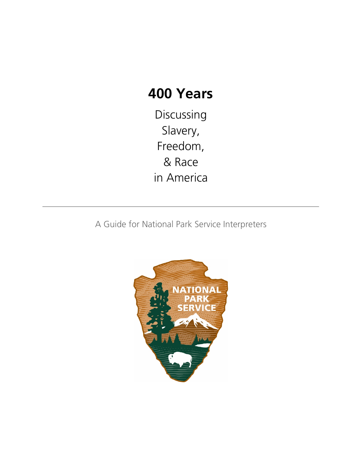# **400 Years**

Discussing Slavery, Freedom, & Race in America

A Guide for National Park Service Interpreters

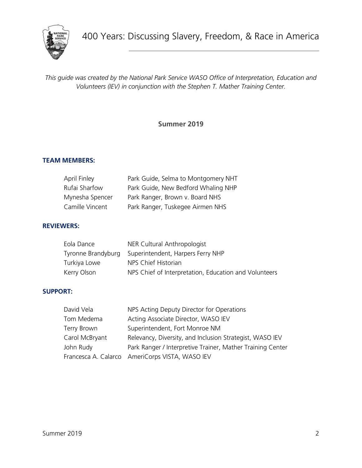

*This guide was created by the National Park Service WASO Office of Interpretation, Education and Volunteers (IEV) in conjunction with the Stephen T. Mather Training Center.*

**Summer 2019**

#### **TEAM MEMBERS:**

| April Finley    | Park Guide, Selma to Montgomery NHT |
|-----------------|-------------------------------------|
| Rufai Sharfow   | Park Guide, New Bedford Whaling NHP |
| Mynesha Spencer | Park Ranger, Brown v. Board NHS     |
| Camille Vincent | Park Ranger, Tuskegee Airmen NHS    |

#### **REVIEWERS:**

| Eola Dance         | NER Cultural Anthropologist                           |
|--------------------|-------------------------------------------------------|
| Tyronne Brandyburg | Superintendent, Harpers Ferry NHP                     |
| Turkiya Lowe       | NPS Chief Historian                                   |
| Kerry Olson        | NPS Chief of Interpretation, Education and Volunteers |

#### **SUPPORT:**

| David Vela     | NPS Acting Deputy Director for Operations                  |
|----------------|------------------------------------------------------------|
| Tom Medema     | Acting Associate Director, WASO IEV                        |
| Terry Brown    | Superintendent, Fort Monroe NM                             |
| Carol McBryant | Relevancy, Diversity, and Inclusion Strategist, WASO IEV   |
| John Rudy      | Park Ranger / Interpretive Trainer, Mather Training Center |
|                | Francesca A. Calarco AmeriCorps VISTA, WASO IEV            |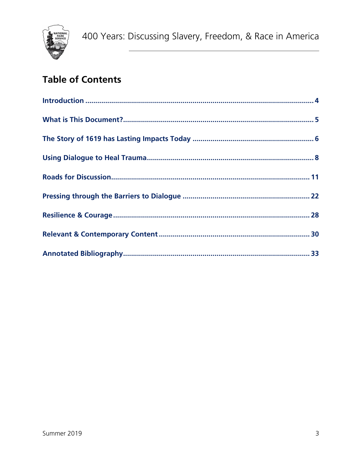

# **Table of Contents**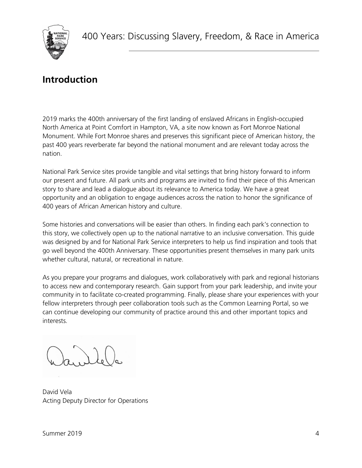

### <span id="page-3-0"></span>**Introduction**

2019 marks the 400th anniversary of the first landing of enslaved Africans in English-occupied North America at Point Comfort in Hampton, VA, a site now known as Fort Monroe National Monument. While Fort Monroe shares and preserves this significant piece of American history, the past 400 years reverberate far beyond the national monument and are relevant today across the nation.

National Park Service sites provide tangible and vital settings that bring history forward to inform our present and future. All park units and programs are invited to find their piece of this American story to share and lead a dialogue about its relevance to America today. We have a great opportunity and an obligation to engage audiences across the nation to honor the significance of 400 years of African American history and culture.

Some histories and conversations will be easier than others. In finding each park's connection to this story, we collectively open up to the national narrative to an inclusive conversation. This guide was designed by and for National Park Service interpreters to help us find inspiration and tools that go well beyond the 400th Anniversary. These opportunities present themselves in many park units whether cultural, natural, or recreational in nature.

As you prepare your programs and dialogues, work collaboratively with park and regional historians to access new and contemporary research. Gain support from your park leadership, and invite your community in to facilitate co-created programming. Finally, please share your experiences with your fellow interpreters through peer collaboration tools such as the Common Learning Portal, so we can continue developing our community of practice around this and other important topics and interests.

David Vela Acting Deputy Director for Operations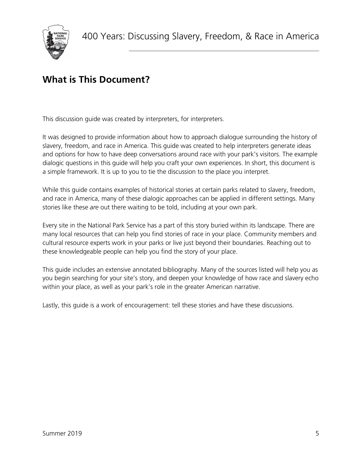# <span id="page-4-0"></span>**What is This Document?**

This discussion guide was created by interpreters, for interpreters.

It was designed to provide information about how to approach dialogue surrounding the history of slavery, freedom, and race in America. This guide was created to help interpreters generate ideas and options for how to have deep conversations around race with your park's visitors. The example dialogic questions in this guide will help you craft your own experiences. In short, this document is a simple framework. It is up to you to tie the discussion to the place you interpret.

While this guide contains examples of historical stories at certain parks related to slavery, freedom, and race in America, many of these dialogic approaches can be applied in different settings. Many stories like these *are* out there waiting to be told, including at your own park.

Every site in the National Park Service has a part of this story buried within its landscape. There are many local resources that can help you find stories of race in your place. Community members and cultural resource experts work in your parks or live just beyond their boundaries. Reaching out to these knowledgeable people can help you find the story of your place.

This guide includes an extensive annotated bibliography. Many of the sources listed will help you as you begin searching for your site's story, and deepen your knowledge of how race and slavery echo within your place, as well as your park's role in the greater American narrative.

Lastly, this guide is a work of encouragement: tell these stories and have these discussions.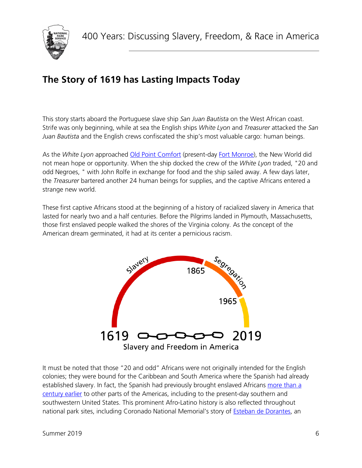

# <span id="page-5-0"></span>**The Story of 1619 has Lasting Impacts Today**

This story starts aboard the Portuguese slave ship *San Juan Bautista* on the West African coast. Strife was only beginning, while at sea the English ships *White Lyon* and *Treasurer* attacked the *San Juan Bautista* and the English crews confiscated the ship's most valuable cargo: human beings.

As the *White Lyon* approached [Old Point Comfort](https://www.nps.gov/jame/learn/historyculture/african-americans-at-jamestown.htm) (present-day [Fort Monroe\)](https://www.nps.gov/fomr/index.htm), the New World did not mean hope or opportunity. When the ship docked the crew of the *White Lyon* traded, "20 and odd Negroes, " with John Rolfe in exchange for food and the ship sailed away. A few days later, the *Treasurer* bartered another 24 human beings for supplies, and the captive Africans entered a strange new world.

These first captive Africans stood at the beginning of a history of racialized slavery in America that lasted for nearly two and a half centuries. Before the Pilgrims landed in Plymouth, Massachusetts, those first enslaved people walked the shores of the Virginia colony. As the concept of the American dream germinated, it had at its center a pernicious racism.



It must be noted that those "20 and odd" Africans were not originally intended for the English colonies; they were bound for the Caribbean and South America where the Spanish had already established slavery. In fact, the Spanish had previously brought enslaved Africans more than a [century earlier](https://www.smithsonianmag.com/history/misguided-focus-1619-beginning-slavery-us-damages-our-understanding-american-history-180964873/) to other parts of the Americas, including to the present-day southern and southwestern United States. This prominent Afro-Latino history is also reflected throughout national park sites, including Coronado National Memorial's story of [Esteban de Dorantes,](https://www.nps.gov/coro/learn/historyculture/esteban-de-dorantes.htm) an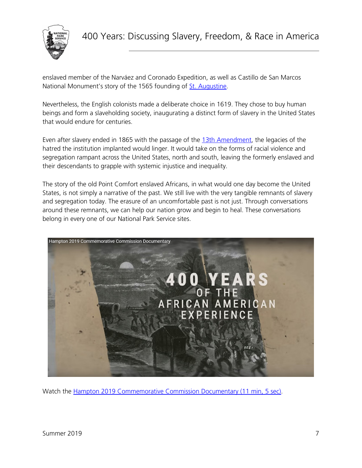

enslaved member of the Narváez and Coronado Expedition, as well as Castillo de San Marcos National Monument's story of the 1565 founding of [St. Augustine.](https://www.nps.gov/nr/travel/american_latino_heritage/Castillo_de_San_Marcos_National_Monument.html)

Nevertheless, the English colonists made a deliberate choice in 1619. They chose to buy human beings and form a slaveholding society, inaugurating a distinct form of slavery in the United States that would endure for centuries.

Even after slavery ended in 1865 with the passage of the [13th Amendment,](https://www.nps.gov/anjo/learn/historyculture/the-13th-amendment.htm) the legacies of the hatred the institution implanted would linger. It would take on the forms of racial violence and segregation rampant across the United States, north and south, leaving the formerly enslaved and their descendants to grapple with systemic injustice and inequality.

The story of the old Point Comfort enslaved Africans, in what would one day become the United States, is not simply a narrative of the past. We still live with the very tangible remnants of slavery and segregation today. The erasure of an uncomfortable past is not just. Through conversations around these remnants, we can help our nation grow and begin to heal. These conversations belong in every one of our National Park Service sites.



Watch the [Hampton 2019 Commemorative Commission Documentary](https://www.youtube.com/watch?v=Ed6lPCGZ5R4) (11 min, 5 sec).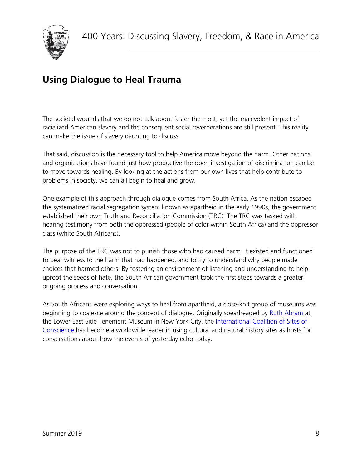

# <span id="page-7-0"></span>**Using Dialogue to Heal Trauma**

The societal wounds that we do not talk about fester the most, yet the malevolent impact of racialized American slavery and the consequent social reverberations are still present. This reality can make the issue of slavery daunting to discuss.

That said, discussion is the necessary tool to help America move beyond the harm. Other nations and organizations have found just how productive the open investigation of discrimination can be to move towards healing. By looking at the actions from our own lives that help contribute to problems in society, we can all begin to heal and grow.

One example of this approach through dialogue comes from South Africa. As the nation escaped the systematized racial segregation system known as apartheid in the early 1990s, the government established their own Truth and Reconciliation Commission (TRC). The TRC was tasked with hearing testimony from both the oppressed (people of color within South Africa) and the oppressor class (white South Africans).

The purpose of the TRC was not to punish those who had caused harm. It existed and functioned to bear witness to the harm that had happened, and to try to understand why people made choices that harmed others. By fostering an environment of listening and understanding to help uproot the seeds of hate, the South African government took the first steps towards a greater, ongoing process and conversation.

As South Africans were exploring ways to heal from apartheid, a close-knit group of museums was beginning to coalesce around the concept of dialogue. Originally spearheaded by [Ruth Abram](https://www.jstor.org/stable/10.1525/tph.2007.29.1.59?seq=1#metadata_info_tab_contents) at the Lower East Side Tenement Museum in New York City, the International Coalition of Sites of [Conscience](https://www.sitesofconscience.org/en/home/) has become a worldwide leader in using cultural and natural history sites as hosts for conversations about how the events of yesterday echo today.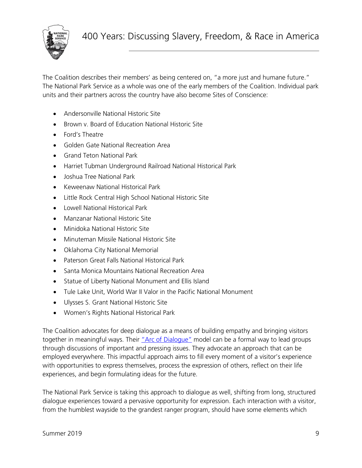

The Coalition describes their members' as being centered on, "a more just and humane future." The National Park Service as a whole was one of the early members of the Coalition. Individual park units and their partners across the country have also become Sites of Conscience:

- Andersonville National Historic Site
- Brown v. Board of Education National Historic Site
- Ford's Theatre
- Golden Gate National Recreation Area
- Grand Teton National Park
- Harriet Tubman Underground Railroad National Historical Park
- Joshua Tree National Park
- Keweenaw National Historical Park
- Little Rock Central High School National Historic Site
- Lowell National Historical Park
- Manzanar National Historic Site
- Minidoka National Historic Site
- Minuteman Missile National Historic Site
- Oklahoma City National Memorial
- Paterson Great Falls National Historical Park
- Santa Monica Mountains National Recreation Area
- Statue of Liberty National Monument and Ellis Island
- Tule Lake Unit, World War II Valor in the Pacific National Monument
- Ulysses S. Grant National Historic Site
- Women's Rights National Historical Park

The Coalition advocates for deep dialogue as a means of building empathy and bringing visitors together in meaningful ways. Their ["Arc of Dialogue"](https://www.sitesofconscience.org/wp-content/uploads/2019/01/Dialogue-Overview.pdf) model can be a formal way to lead groups through discussions of important and pressing issues. They advocate an approach that can be employed everywhere. This impactful approach aims to fill every moment of a visitor's experience with opportunities to express themselves, process the expression of others, reflect on their life experiences, and begin formulating ideas for the future.

The National Park Service is taking this approach to dialogue as well, shifting from long, structured dialogue experiences toward a pervasive opportunity for expression. Each interaction with a visitor, from the humblest wayside to the grandest ranger program, should have some elements which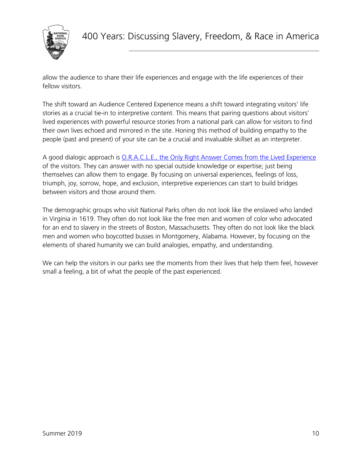

allow the audience to share their life experiences and engage with the life experiences of their fellow visitors.

The shift toward an Audience Centered Experience means a shift toward integrating visitors' life stories as a crucial tie-in to interpretive content. This means that pairing questions about visitors' lived experiences with powerful resource stories from a national park can allow for visitors to find their own lives echoed and mirrored in the site. Honing this method of building empathy to the people (past and present) of your site can be a crucial and invaluable skillset as an interpreter.

A good dialogic approach is O.R.A.C.L.E., the [Only Right Answer Comes from the Lived Experience](https://mylearning.nps.gov/library-resources/dialogic-questions/) of the visitors. They can answer with no special outside knowledge or expertise; just being themselves can allow them to engage. By focusing on universal experiences, feelings of loss, triumph, joy, sorrow, hope, and exclusion, interpretive experiences can start to build bridges between visitors and those around them.

The demographic groups who visit National Parks often do not look like the enslaved who landed in Virginia in 1619. They often do not look like the free men and women of color who advocated for an end to slavery in the streets of Boston, Massachusetts. They often do not look like the black men and women who boycotted busses in Montgomery, Alabama. However, by focusing on the elements of shared humanity we can build analogies, empathy, and understanding.

We can help the visitors in our parks see the moments from their lives that help them feel, however small a feeling, a bit of what the people of the past experienced.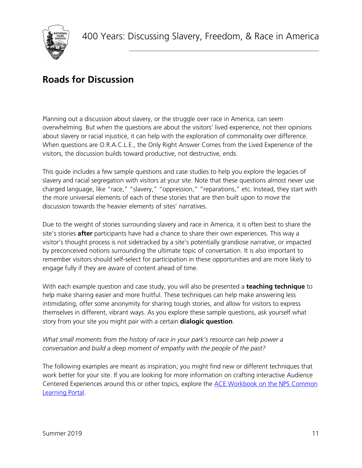

### <span id="page-10-0"></span>**Roads for Discussion**

Planning out a discussion about slavery, or the struggle over race in America, can seem overwhelming. But when the questions are about the visitors' lived experience, not their opinions about slavery or racial injustice, it can help with the exploration of commonality over difference. When questions are O.R.A.C.L.E., the Only Right Answer Comes from the Lived Experience of the visitors, the discussion builds toward productive, not destructive, ends.

This guide includes a few sample questions and case studies to help you explore the legacies of slavery and racial segregation with visitors at your site. Note that these questions almost never use charged language, like "race," "slavery," "oppression," "reparations," etc. Instead, they start with the more universal elements of each of these stories that are then built upon to move the discussion towards the heavier elements of sites' narratives.

Due to the weight of stories surrounding slavery and race in America, it is often best to share the site's stories **after** participants have had a chance to share their own experiences. This way a visitor's thought process is not sidetracked by a site's potentially grandiose narrative, or impacted by preconceived notions surrounding the ultimate topic of conversation. It is also important to remember visitors should self-select for participation in these opportunities and are more likely to engage fully if they are aware of content ahead of time.

With each example question and case study, you will also be presented a **teaching technique** to help make sharing easier and more fruitful. These techniques can help make answering less intimidating, offer some anonymity for sharing tough stories, and allow for visitors to express themselves in different, vibrant ways. As you explore these sample questions, ask yourself what story from your site you might pair with a certain **dialogic question**.

#### *What small moments from the history of race in your park's resource can help power a conversation and build a deep moment of empathy with the people of the past?*

The following examples are meant as inspiration; you might find new or different techniques that work better for your site. If you are looking for more information on crafting interactive Audience Centered Experiences around this or other topics, explore the [ACE Workbook on the NPS Common](https://mylearning.nps.gov/library-resources/ace-interp-workbook/)  [Learning Portal.](https://mylearning.nps.gov/library-resources/ace-interp-workbook/)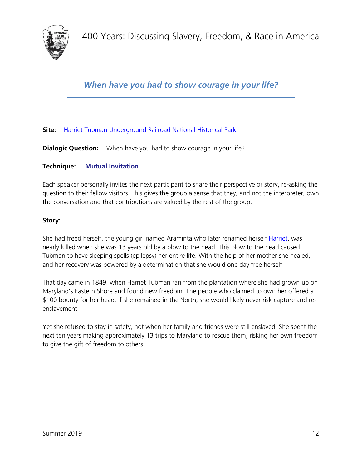

*When have you had to show courage in your life?*

#### **Site:** [Harriet Tubman Underground Railroad National Historical Park](https://www.nps.gov/hatu/index.htm)

**Dialogic Question:** When have you had to show courage in your life?

#### **Technique: Mutual Invitation**

Each speaker personally invites the next participant to share their perspective or story, re-asking the question to their fellow visitors. This gives the group a sense that they, and not the interpreter, own the conversation and that contributions are valued by the rest of the group.

#### **Story:**

She had freed herself, the young girl named Araminta who later renamed herself [Harriet,](https://www.nps.gov/hatu/learn/historyculture/htubman.htm) was nearly killed when she was 13 years old by a blow to the head. This blow to the head caused Tubman to have sleeping spells (epilepsy) her entire life. With the help of her mother she healed, and her recovery was powered by a determination that she would one day free herself.

That day came in 1849, when Harriet Tubman ran from the plantation where she had grown up on Maryland's Eastern Shore and found new freedom. The people who claimed to own her offered a \$100 bounty for her head. If she remained in the North, she would likely never risk capture and reenslavement.

Yet she refused to stay in safety, not when her family and friends were still enslaved. She spent the next ten years making approximately 13 trips to Maryland to rescue them, risking her own freedom to give the gift of freedom to others.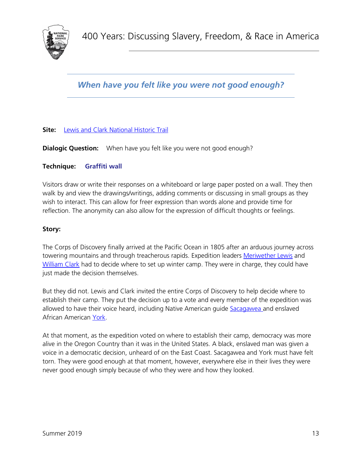

*When have you felt like you were not good enough?*

#### **Site:** [Lewis and Clark National Historic Trail](https://www.nps.gov/lecl/index.htm)

**Dialogic Question:** When have you felt like you were not good enough?

#### **Technique: Graffiti wall**

Visitors draw or write their responses on a whiteboard or large paper posted on a wall. They then walk by and view the drawings/writings, adding comments or discussing in small groups as they wish to interact. This can allow for freer expression than words alone and provide time for reflection. The anonymity can also allow for the expression of difficult thoughts or feelings.

#### **Story:**

The Corps of Discovery finally arrived at the Pacific Ocean in 1805 after an arduous journey across towering mountains and through treacherous rapids. Expedition leaders [Meriwether Lewis](https://www.nps.gov/people/meriwether-lewis.htm) and [William Clark](https://www.nps.gov/people/william-clark.htm) had to decide where to set up winter camp. They were in charge, they could have just made the decision themselves.

But they did not. Lewis and Clark invited the entire Corps of Discovery to help decide where to establish their camp. They put the decision up to a vote and every member of the expedition was allowed to have their voice heard, including Native American guide [Sacagawea](https://www.nps.gov/people/sacagawea.htm) and enslaved African American [York.](https://www.nps.gov/people/york.htm)

At that moment, as the expedition voted on where to establish their camp, democracy was more alive in the Oregon Country than it was in the United States. A black, enslaved man was given a voice in a democratic decision, unheard of on the East Coast. Sacagawea and York must have felt torn. They were good enough at that moment, however, everywhere else in their lives they were never good enough simply because of who they were and how they looked.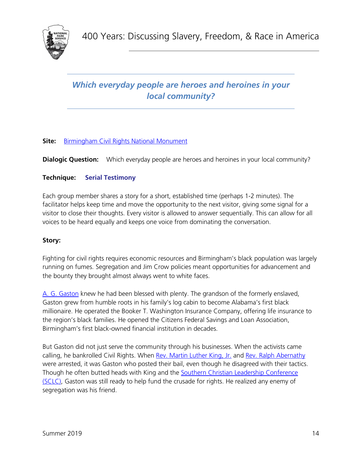

### *Which everyday people are heroes and heroines in your local community?*

#### **Site:** [Birmingham Civil Rights National Monument](https://www.nps.gov/bicr/index.htm)

**Dialogic Question:** Which everyday people are heroes and heroines in your local community?

#### **Technique: Serial Testimony**

Each group member shares a story for a short, established time (perhaps 1-2 minutes). The facilitator helps keep time and move the opportunity to the next visitor, giving some signal for a visitor to close their thoughts. Every visitor is allowed to answer sequentially. This can allow for all voices to be heard equally and keeps one voice from dominating the conversation.

#### **Story:**

Fighting for civil rights requires economic resources and Birmingham's black population was largely running on fumes. Segregation and Jim Crow policies meant opportunities for advancement and the bounty they brought almost always went to white faces.

[A. G. Gaston](https://www.nps.gov/articles/gaston-motel-partnership-birmingham-nps.htm) knew he had been blessed with plenty. The grandson of the formerly enslaved, Gaston grew from humble roots in his family's log cabin to become Alabama's first black millionaire. He operated the Booker T. Washington Insurance Company, offering life insurance to the region's black families. He opened the Citizens Federal Savings and Loan Association, Birmingham's first black-owned financial institution in decades.

But Gaston did not just serve the community through his businesses. When the activists came calling, he bankrolled Civil Rights. When [Rev. Martin Luther King, Jr.](https://www.nps.gov/people/martinlutherkingjr.htm) and [Rev. Ralph Abernathy](https://www.nps.gov/people/ralph-david-abernathy.htm) were arrested, it was Gaston who posted their bail, even though he disagreed with their tactics. Though he often butted heads with King and the [Southern Christian Leadership Conference](https://www.nps.gov/articles/sclc.htm)  [\(SCLC\),](https://www.nps.gov/articles/sclc.htm) Gaston was still ready to help fund the crusade for rights. He realized any enemy of segregation was his friend.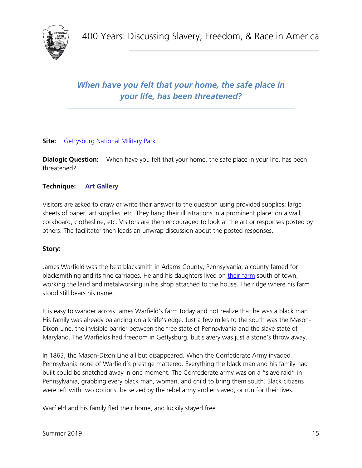

### *When have you felt that your home, the safe place in your life, has been threatened?*

#### **Site:** [Gettysburg National Military Park](https://www.nps.gov/gett/index.htm)

**Dialogic Question:** When have you felt that your home, the safe place in your life, has been threatened?

#### **Technique: Art Gallery**

Visitors are asked to draw or write their answer to the question using provided supplies: large sheets of paper, art supplies, etc. They hang their illustrations in a prominent place: on a wall, corkboard, clothesline, etc. Visitors are then encouraged to look at the art or responses posted by others. The facilitator then leads an unwrap discussion about the posted responses.

#### **Story:**

James Warfield was the best blacksmith in Adams County, Pennsylvania, a county famed for blacksmithing and its fine carriages. He and his daughters lived on [their farm](https://www.nps.gov/gett/learn/news/doors-open-may-6-2017.htm) south of town, working the land and metalworking in his shop attached to the house. The ridge where his farm stood still bears his name.

It is easy to wander across James Warfield's farm today and not realize that he was a black man. His family was already balancing on a knife's edge. Just a few miles to the south was the Mason-Dixon Line, the invisible barrier between the free state of Pennsylvania and the slave state of Maryland. The Warfields had freedom in Gettysburg, but slavery was just a stone's throw away.

In 1863, the Mason-Dixon Line all but disappeared. When the Confederate Army invaded Pennsylvania none of Warfield's prestige mattered. Everything the black man and his family had built could be snatched away in one moment. The Confederate army was on a "slave raid" in Pennsylvania, grabbing every black man, woman, and child to bring them south. Black citizens were left with two options: be seized by the rebel army and enslaved, or run for their lives.

Warfield and his family fled their home, and luckily stayed free.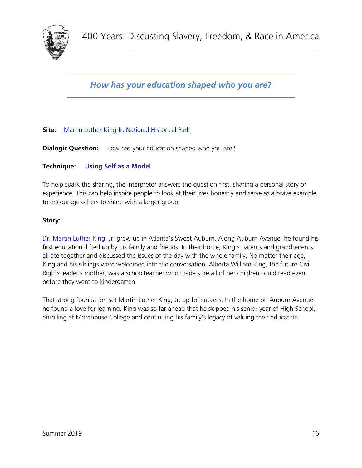

*How has your education shaped who you are?*

#### **Site:** [Martin Luther King Jr. National Historical Park](https://www.nps.gov/malu/index.htm)

**Dialogic Question:** How has your education shaped who you are?

#### **Technique: Using Self as a Model**

To help spark the sharing, the interpreter answers the question first, sharing a personal story or experience. This can help inspire people to look at their lives honestly and serve as a brave example to encourage others to share with a larger group.

#### **Story:**

[Dr. Martin Luther King, Jr.](https://www.nps.gov/people/martinlutherkingjr.htm) grew up in Atlanta's Sweet Auburn. Along Auburn Avenue, he found his first education, lifted up by his family and friends. In their home, King's parents and grandparents all ate together and discussed the issues of the day with the whole family. No matter their age, King and his siblings were welcomed into the conversation. Alberta William King, the future Civil Rights leader's mother, was a schoolteacher who made sure all of her children could read even before they went to kindergarten.

That strong foundation set Martin Luther King, Jr. up for success. In the home on Auburn Avenue he found a love for learning. King was so far ahead that he skipped his senior year of High School, enrolling at Morehouse College and continuing his family's legacy of valuing their education.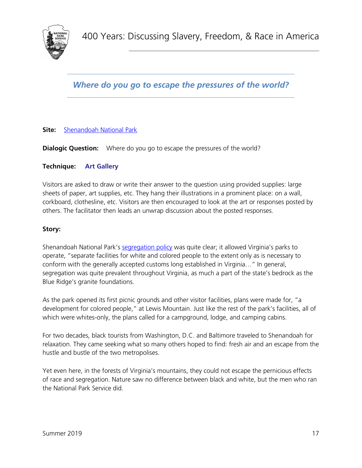### *Where do you go to escape the pressures of the world?*

#### **Site:** [Shenandoah National Park](https://www.nps.gov/shen/index.htm)

**Dialogic Question:** Where do you go to escape the pressures of the world?

#### **Technique: Art Gallery**

Visitors are asked to draw or write their answer to the question using provided supplies: large sheets of paper, art supplies, etc. They hang their illustrations in a prominent place: on a wall, corkboard, clothesline, etc. Visitors are then encouraged to look at the art or responses posted by others. The facilitator then leads an unwrap discussion about the posted responses.

#### **Story:**

Shenandoah National Park's [segregation policy](https://www.nps.gov/articles/segregation-and-desegregation-at-shenandoah.htm) was quite clear; it allowed Virginia's parks to operate, "separate facilities for white and colored people to the extent only as is necessary to conform with the generally accepted customs long established in Virginia…" In general, segregation was quite prevalent throughout Virginia, as much a part of the state's bedrock as the Blue Ridge's granite foundations.

As the park opened its first picnic grounds and other visitor facilities, plans were made for, "a development for colored people," at Lewis Mountain. Just like the rest of the park's facilities, all of which were whites-only, the plans called for a campground, lodge, and camping cabins.

For two decades, black tourists from Washington, D.C. and Baltimore traveled to Shenandoah for relaxation. They came seeking what so many others hoped to find: fresh air and an escape from the hustle and bustle of the two metropolises.

Yet even here, in the forests of Virginia's mountains, they could not escape the pernicious effects of race and segregation. Nature saw no difference between black and white, but the men who ran the National Park Service did.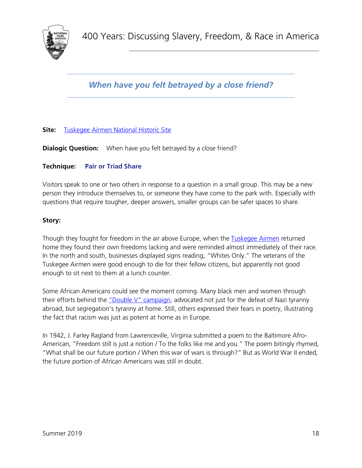*When have you felt betrayed by a close friend?*

#### **Site:** [Tuskegee Airmen National Historic Site](https://www.nps.gov/tuai/index.htm)

**Dialogic Question:** When have you felt betrayed by a close friend?

#### **Technique: Pair or Triad Share**

Visitors speak to one or two others in response to a question in a small group. This may be a new person they introduce themselves to, or someone they have come to the park with. Especially with questions that require tougher, deeper answers, smaller groups can be safer spaces to share.

#### **Story:**

Though they fought for freedom in the air above Europe, when the [Tuskegee Airmen](https://www.nps.gov/tuai/learn/historyculture/index.htm) returned home they found their own freedoms lacking and were reminded almost immediately of their race. In the north and south, businesses displayed signs reading, "Whites Only." The veterans of the Tuskegee Airmen were good enough to die for their fellow citizens, but apparently not good enough to sit next to them at a lunch counter.

Some African Americans could see the moment coming. Many black men and women through their efforts behind the ["Double V" campaign,](https://www.smithsonianmag.com/history/why-african-american-soldiers-saw-world-war-ii-two-front-battle-180964616/) advocated not just for the defeat of Nazi tyranny abroad, but segregation's tyranny at home. Still, others expressed their fears in poetry, illustrating the fact that racism was just as potent at home as in Europe.

In 1942, J. Farley Ragland from Lawrenceville, Virginia submitted a poem to the Baltimore Afro-American, "Freedom still is just a notion / To the folks like me and you." The poem bitingly rhymed, "What shall be our future portion / When this war of wars is through?" But as World War II ended, the future portion of African Americans was still in doubt.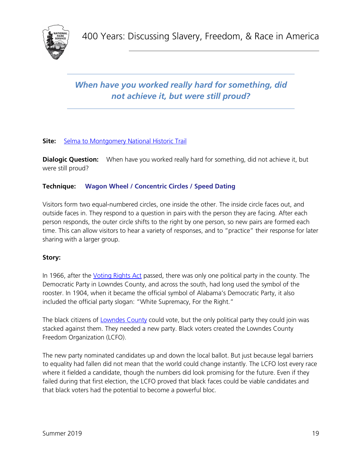

### *When have you worked really hard for something, did not achieve it, but were still proud?*

#### **Site:** [Selma to Montgomery National Historic Trail](https://www.nps.gov/semo/index.htm)

**Dialogic Question:** When have you worked really hard for something, did not achieve it, but were still proud?

#### **Technique: Wagon Wheel / Concentric Circles / Speed Dating**

Visitors form two equal-numbered circles, one inside the other. The inside circle faces out, and outside faces in. They respond to a question in pairs with the person they are facing. After each person responds, the outer circle shifts to the right by one person, so new pairs are formed each time. This can allow visitors to hear a variety of responses, and to "practice" their response for later sharing with a larger group.

#### **Story:**

In 1966, after the *Voting Rights Act* passed, there was only one political party in the county. The Democratic Party in Lowndes County, and across the south, had long used the symbol of the rooster. In 1904, when it became the official symbol of Alabama's Democratic Party, it also included the official party slogan: "White Supremacy, For the Right."

The black citizens of [Lowndes County](https://www.nps.gov/semo/learn/historyculture/lowndes-interpretive-center.htm) could vote, but the only political party they could join was stacked against them. They needed a new party. Black voters created the Lowndes County Freedom Organization (LCFO).

The new party nominated candidates up and down the local ballot. But just because legal barriers to equality had fallen did not mean that the world could change instantly. The LCFO lost every race where it fielded a candidate, though the numbers did look promising for the future. Even if they failed during that first election, the LCFO proved that black faces could be viable candidates and that black voters had the potential to become a powerful bloc.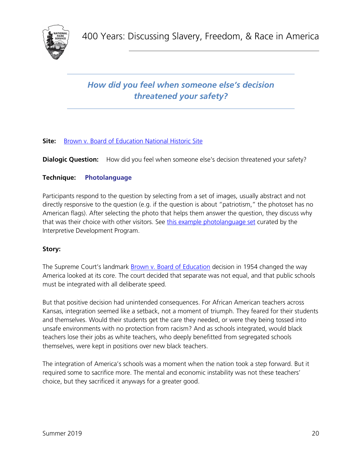

### *How did you feel when someone else's decision threatened your safety?*

#### **Site:** [Brown v. Board of Education National Historic Site](https://www.nps.gov/brvb/index.htm)

**Dialogic Question:** How did you feel when someone else's decision threatened your safety?

#### **Technique: Photolanguage**

Participants respond to the question by selecting from a set of images, usually abstract and not directly responsive to the question (e.g. if the question is about "patriotism," the photoset has no American flags). After selecting the photo that helps them answer the question, they discuss why that was their choice with other visitors. See [this example photolanguage set](https://drive.google.com/file/d/1Ku87nuiRshrF2gqKRJ8PWc2svPxa9gCC/view?usp=sharing) curated by the Interpretive Development Program.

#### **Story:**

The Supreme Court's landmark **Brown v. Board of Education decision in 1954 changed the way** America looked at its core. The court decided that separate was not equal, and that public schools must be integrated with all deliberate speed.

But that positive decision had unintended consequences. For African American teachers across Kansas, integration seemed like a setback, not a moment of triumph. They feared for their students and themselves. Would their students get the care they needed, or were they being tossed into unsafe environments with no protection from racism? And as schools integrated, would black teachers lose their jobs as white teachers, who deeply benefitted from segregated schools themselves, were kept in positions over new black teachers.

The integration of America's schools was a moment when the nation took a step forward. But it required some to sacrifice more. The mental and economic instability was not these teachers' choice, but they sacrificed it anyways for a greater good.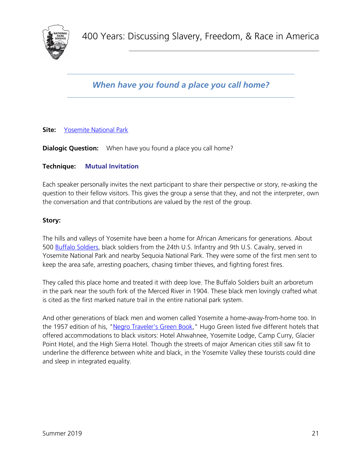*When have you found a place you call home?*

#### **Site:** [Yosemite National Park](https://www.nps.gov/yose/index.htm)

**Dialogic Question:** When have you found a place you call home?

#### **Technique: Mutual Invitation**

Each speaker personally invites the next participant to share their perspective or story, re-asking the question to their fellow visitors. This gives the group a sense that they, and not the interpreter, own the conversation and that contributions are valued by the rest of the group.

#### **Story:**

The hills and valleys of Yosemite have been a home for African Americans for generations. About 500 [Buffalo Soldiers,](https://www.nps.gov/yose/learn/historyculture/buffalo-soldiers.htm) black soldiers from the 24th U.S. Infantry and 9th U.S. Cavalry, served in Yosemite National Park and nearby Sequoia National Park. They were some of the first men sent to keep the area safe, arresting poachers, chasing timber thieves, and fighting forest fires.

They called this place home and treated it with deep love. The Buffalo Soldiers built an arboretum in the park near the south fork of the Merced River in 1904. These black men lovingly crafted what is cited as the first marked nature trail in the entire national park system.

And other generations of black men and women called Yosemite a home-away-from-home too. In the 1957 edition of his, ["Negro Traveler's Green Book,](https://digitalcollections.nypl.org/items/0a5dce90-848f-0132-f0c9-58d385a7b928)" Hugo Green listed five different hotels that offered accommodations to black visitors: Hotel Ahwahnee, Yosemite Lodge, Camp Curry, Glacier Point Hotel, and the High Sierra Hotel. Though the streets of major American cities still saw fit to underline the difference between white and black, in the Yosemite Valley these tourists could dine and sleep in integrated equality.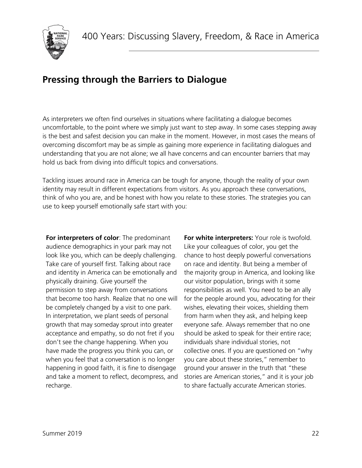

# <span id="page-21-0"></span>**Pressing through the Barriers to Dialogue**

As interpreters we often find ourselves in situations where facilitating a dialogue becomes uncomfortable, to the point where we simply just want to step away. In some cases stepping away is the best and safest decision you can make in the moment. However, in most cases the means of overcoming discomfort may be as simple as gaining more experience in facilitating dialogues and understanding that you are not alone; we all have concerns and can encounter barriers that may hold us back from diving into difficult topics and conversations.

Tackling issues around race in America can be tough for anyone, though the reality of your own identity may result in different expectations from visitors. As you approach these conversations, think of who you are, and be honest with how you relate to these stories. The strategies you can use to keep yourself emotionally safe start with you:

**For interpreters of color**: The predominant audience demographics in your park may not look like you, which can be deeply challenging. Take care of yourself first. Talking about race and identity in America can be emotionally and physically draining. Give yourself the permission to step away from conversations that become too harsh. Realize that no one will be completely changed by a visit to one park. In interpretation, we plant seeds of personal growth that may someday sprout into greater acceptance and empathy, so do not fret if you don't see the change happening. When you have made the progress you think you can, or when you feel that a conversation is no longer happening in good faith, it is fine to disengage and take a moment to reflect, decompress, and recharge.

**For white interpreters:** Your role is twofold. Like your colleagues of color, you get the chance to host deeply powerful conversations on race and identity. But being a member of the majority group in America, and looking like our visitor population, brings with it some responsibilities as well. You need to be an ally for the people around you, advocating for their wishes, elevating their voices, shielding them from harm when they ask, and helping keep everyone safe. Always remember that no one should be asked to speak for their entire race; individuals share individual stories, not collective ones. If you are questioned on "why you care about these stories," remember to ground your answer in the truth that "these stories are American stories," and it is your job to share factually accurate American stories.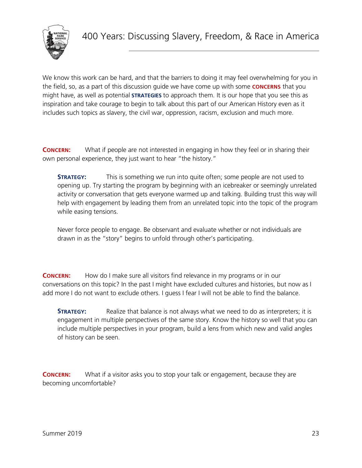

We know this work can be hard, and that the barriers to doing it may feel overwhelming for you in the field, so, as a part of this discussion guide we have come up with some **CONCERNS** that you might have, as well as potential **STRATEGIES** to approach them. It is our hope that you see this as inspiration and take courage to begin to talk about this part of our American History even as it includes such topics as slavery, the civil war, oppression, racism, exclusion and much more.

**CONCERN:** What if people are not interested in engaging in how they feel or in sharing their own personal experience, they just want to hear "the history."

**STRATEGY:** This is something we run into quite often; some people are not used to opening up. Try starting the program by beginning with an icebreaker or seemingly unrelated activity or conversation that gets everyone warmed up and talking. Building trust this way will help with engagement by leading them from an unrelated topic into the topic of the program while easing tensions.

Never force people to engage. Be observant and evaluate whether or not individuals are drawn in as the "story" begins to unfold through other's participating.

**CONCERN:** How do I make sure all visitors find relevance in my programs or in our conversations on this topic? In the past I might have excluded cultures and histories, but now as I add more I do not want to exclude others. I guess I fear I will not be able to find the balance.

**STRATEGY:** Realize that balance is not always what we need to do as interpreters; it is engagement in multiple perspectives of the same story. Know the history so well that you can include multiple perspectives in your program, build a lens from which new and valid angles of history can be seen.

**CONCERN:** What if a visitor asks you to stop your talk or engagement, because they are becoming uncomfortable?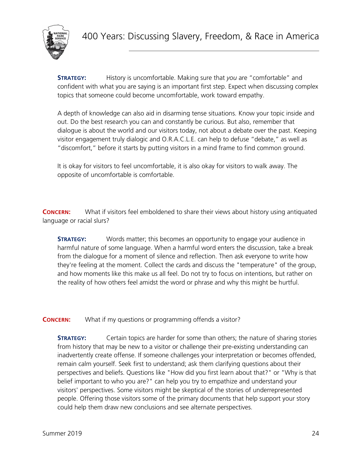

**STRATEGY:** History is uncomfortable. Making sure that *you* are "comfortable" and confident with what you are saying is an important first step. Expect when discussing complex topics that someone could become uncomfortable, work toward empathy.

A depth of knowledge can also aid in disarming tense situations. Know your topic inside and out. Do the best research you can and constantly be curious. But also, remember that dialogue is about the world and our visitors today, not about a debate over the past. Keeping visitor engagement truly dialogic and O.R.A.C.L.E. can help to defuse "debate," as well as "discomfort," before it starts by putting visitors in a mind frame to find common ground.

It is okay for visitors to feel uncomfortable, it is also okay for visitors to walk away. The opposite of uncomfortable is comfortable.

**CONCERN:** What if visitors feel emboldened to share their views about history using antiquated language or racial slurs?

**STRATEGY:** Words matter; this becomes an opportunity to engage your audience in harmful nature of some language. When a harmful word enters the discussion, take a break from the dialogue for a moment of silence and reflection. Then ask everyone to write how they're feeling at the moment. Collect the cards and discuss the "temperature" of the group, and how moments like this make us all feel. Do not try to focus on intentions, but rather on the reality of how others feel amidst the word or phrase and why this might be hurtful.

**CONCERN:** What if my questions or programming offends a visitor?

**STRATEGY:** Certain topics are harder for some than others; the nature of sharing stories from history that may be new to a visitor or challenge their pre-existing understanding can inadvertently create offense. If someone challenges your interpretation or becomes offended, remain calm yourself. Seek first to understand; ask them clarifying questions about their perspectives and beliefs. Questions like "How did you first learn about that?" or "Why is that belief important to who you are?" can help you try to empathize and understand your visitors' perspectives. Some visitors might be skeptical of the stories of underrepresented people. Offering those visitors some of the primary documents that help support your story could help them draw new conclusions and see alternate perspectives.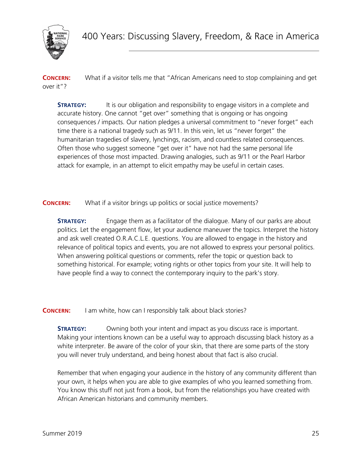

**CONCERN:** What if a visitor tells me that "African Americans need to stop complaining and get over it"?

**STRATEGY:** It is our obligation and responsibility to engage visitors in a complete and accurate history. One cannot "get over" something that is ongoing or has ongoing consequences / impacts. Our nation pledges a universal commitment to "never forget" each time there is a national tragedy such as 9/11. In this vein, let us "never forget" the humanitarian tragedies of slavery, lynchings, racism, and countless related consequences. Often those who suggest someone "get over it" have not had the same personal life experiences of those most impacted. Drawing analogies, such as 9/11 or the Pearl Harbor attack for example, in an attempt to elicit empathy may be useful in certain cases.

**CONCERN:** What if a visitor brings up politics or social justice movements?

**STRATEGY:** Engage them as a facilitator of the dialogue. Many of our parks are about politics. Let the engagement flow, let your audience maneuver the topics. Interpret the history and ask well created O.R.A.C.L.E. questions. You are allowed to engage in the history and relevance of political topics and events, you are not allowed to express your personal politics. When answering political questions or comments, refer the topic or question back to something historical. For example; voting rights or other topics from your site. It will help to have people find a way to connect the contemporary inquiry to the park's story.

**CONCERN:** I am white, how can I responsibly talk about black stories?

**STRATEGY:** Owning both your intent and impact as you discuss race is important. Making your intentions known can be a useful way to approach discussing black history as a white interpreter. Be aware of the color of your skin, that there are some parts of the story you will never truly understand, and being honest about that fact is also crucial.

Remember that when engaging your audience in the history of any community different than your own, it helps when you are able to give examples of who you learned something from. You know this stuff not just from a book, but from the relationships you have created with African American historians and community members.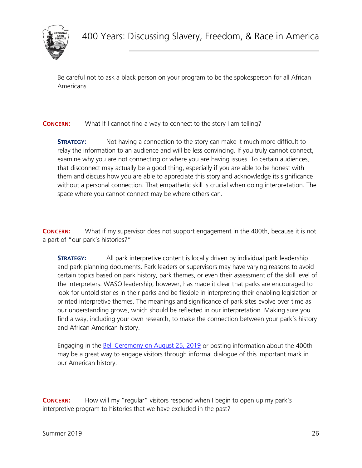

Be careful not to ask a black person on your program to be the spokesperson for all African Americans.

**CONCERN:** What If I cannot find a way to connect to the story I am telling?

**STRATEGY:** Not having a connection to the story can make it much more difficult to relay the information to an audience and will be less convincing. If you truly cannot connect, examine why you are not connecting or where you are having issues. To certain audiences, that disconnect may actually be a good thing, especially if you are able to be honest with them and discuss how you are able to appreciate this story and acknowledge its significance without a personal connection. That empathetic skill is crucial when doing interpretation. The space where you cannot connect may be where others can.

**CONCERN:** What if my supervisor does not support engagement in the 400th, because it is not a part of "our park's histories?"

**STRATEGY:** All park interpretive content is locally driven by individual park leadership and park planning documents. Park leaders or supervisors may have varying reasons to avoid certain topics based on park history, park themes, or even their assessment of the skill level of the interpreters. WASO leadership, however, has made it clear that parks are encouraged to look for untold stories in their parks and be flexible in interpreting their enabling legislation or printed interpretive themes. The meanings and significance of park sites evolve over time as our understanding grows, which should be reflected in our interpretation. Making sure you find a way, including your own research, to make the connection between your park's history and African American history.

Engaging in the [Bell Ceremony on August 25, 2019](https://fortmonroehealingday.com/) or posting information about the 400th may be a great way to engage visitors through informal dialogue of this important mark in our American history.

**CONCERN:** How will my "regular" visitors respond when I begin to open up my park's interpretive program to histories that we have excluded in the past?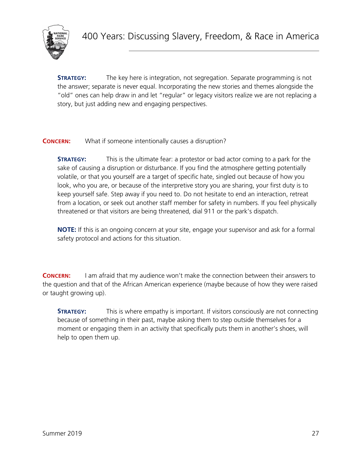

**STRATEGY:** The key here is integration, not segregation. Separate programming is not the answer; separate is never equal. Incorporating the new stories and themes alongside the "old" ones can help draw in and let "regular" or legacy visitors realize we are not replacing a story, but just adding new and engaging perspectives.

**CONCERN:** What if someone intentionally causes a disruption?

**STRATEGY:** This is the ultimate fear: a protestor or bad actor coming to a park for the sake of causing a disruption or disturbance. If you find the atmosphere getting potentially volatile, or that you yourself are a target of specific hate, singled out because of how you look, who you are, or because of the interpretive story you are sharing, your first duty is to keep yourself safe. Step away if you need to. Do not hesitate to end an interaction, retreat from a location, or seek out another staff member for safety in numbers. If you feel physically threatened or that visitors are being threatened, dial 911 or the park's dispatch.

**NOTE:** If this is an ongoing concern at your site, engage your supervisor and ask for a formal safety protocol and actions for this situation.

**CONCERN:** I am afraid that my audience won't make the connection between their answers to the question and that of the African American experience (maybe because of how they were raised or taught growing up).

**STRATEGY:** This is where empathy is important. If visitors consciously are not connecting because of something in their past, maybe asking them to step outside themselves for a moment or engaging them in an activity that specifically puts them in another's shoes, will help to open them up.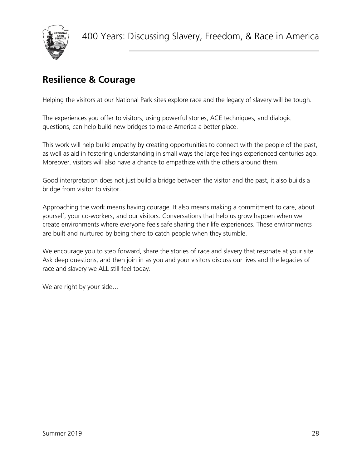

# <span id="page-27-0"></span>**Resilience & Courage**

Helping the visitors at our National Park sites explore race and the legacy of slavery will be tough.

The experiences you offer to visitors, using powerful stories, ACE techniques, and dialogic questions, can help build new bridges to make America a better place.

This work will help build empathy by creating opportunities to connect with the people of the past, as well as aid in fostering understanding in small ways the large feelings experienced centuries ago. Moreover, visitors will also have a chance to empathize with the others around them.

Good interpretation does not just build a bridge between the visitor and the past, it also builds a bridge from visitor to visitor.

Approaching the work means having courage. It also means making a commitment to care, about yourself, your co-workers, and our visitors. Conversations that help us grow happen when we create environments where everyone feels safe sharing their life experiences. These environments are built and nurtured by being there to catch people when they stumble.

We encourage you to step forward, share the stories of race and slavery that resonate at your site. Ask deep questions, and then join in as you and your visitors discuss our lives and the legacies of race and slavery we ALL still feel today.

We are right by your side...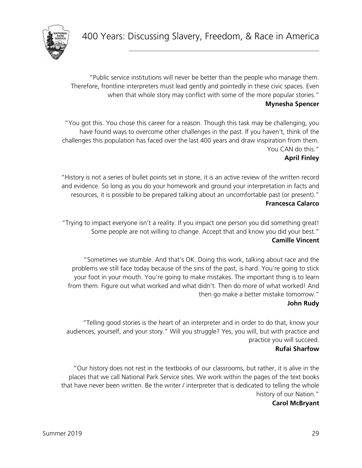

"Public service institutions will never be better than the people who manage them. Therefore, frontline interpreters must lead gently and pointedly in these civic spaces. Even when that whole story may conflict with some of the more popular stories." **Mynesha Spencer**

"You got this. You chose this career for a reason. Though this task may be challenging, you have found ways to overcome other challenges in the past. If you haven't, think of the challenges this population has faced over the last 400 years and draw inspiration from them. You CAN do this."

#### **April Finley**

"History is not a series of bullet points set in stone, it is an active review of the written record and evidence. So long as you do your homework and ground your interpretation in facts and resources, it is possible to be prepared talking about an uncomfortable past (or present)." **Francesca Calarco**

"Trying to impact everyone isn't a reality. If you impact one person you did something great! Some people are not willing to change. Accept that and know you did your best." **Camille Vincent**

"Sometimes we stumble. And that's OK. Doing this work, talking about race and the problems we still face today because of the sins of the past, is hard. You're going to stick your foot in your mouth. You're going to make mistakes. The important thing is to learn from them. Figure out what worked and what didn't. Then do more of what worked! And then go make a better mistake tomorrow."

#### **John Rudy**

"Telling good stories is the heart of an interpreter and in order to do that, know your audiences, yourself, and your story." Will you struggle? Yes, you will, but with practice and practice you will succeed.

#### **Rufai Sharfow**

"Our history does not rest in the textbooks of our classrooms, but rather, it is alive in the places that we call National Park Service sites. We work within the pages of the text books that have never been written. Be the writer / interpreter that is dedicated to telling the whole history of our Nation."

#### **Carol McBryant**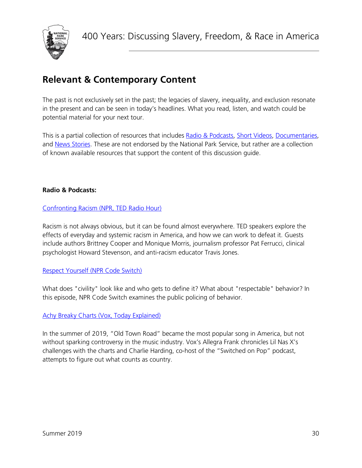

# <span id="page-29-0"></span>**Relevant & Contemporary Content**

The past is not exclusively set in the past; the legacies of slavery, inequality, and exclusion resonate in the present and can be seen in today's headlines. What you read, listen, and watch could be potential material for your next tour.

This is a partial collection of resources that includes [Radio & Podcasts,](#page-29-1) [Short Videos,](#page-30-0) [Documentaries,](#page-30-1) and [News Stories.](#page-31-0) These are not endorsed by the National Park Service, but rather are a collection of known available resources that support the content of this discussion guide.

#### <span id="page-29-1"></span>**Radio & Podcasts:**

#### [Confronting Racism \(NPR, TED Radio Hour\)](https://www.npr.org/programs/ted-radio-hour/707189471/confronting-racism?showDate=2019-03-29)

Racism is not always obvious, but it can be found almost everywhere. TED speakers explore the effects of everyday and systemic racism in America, and how we can work to defeat it. Guests include authors Brittney Cooper and Monique Morris, journalism professor Pat Ferrucci, clinical psychologist Howard Stevenson, and anti-racism educator Travis Jones.

#### [Respect Yourself \(NPR Code Switch\)](https://www.npr.org/templates/transcript/transcript.php?storyId=692206390)

What does "civility" look like and who gets to define it? What about "respectable" behavior? In this episode, NPR Code Switch examines the public policing of behavior.

#### [Achy Breaky Charts \(Vox, Today Explained\)](https://art19.com/shows/today-explained/episodes/b0fb86e1-7eaa-4cf4-a608-078645500020)

In the summer of 2019, "Old Town Road" became the most popular song in America, but not without sparking controversy in the music industry. Vox's Allegra Frank chronicles Lil Nas X's challenges with the charts and Charlie Harding, co-host of the "Switched on Pop" podcast, attempts to figure out what counts as country.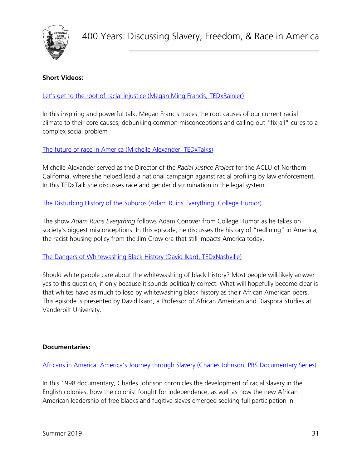

#### <span id="page-30-0"></span>**Short Videos:**

[Let's get to the root of racial injustice \(Megan Ming Francis, TEDxRainier\)](https://www.youtube.com/watch?v=-aCn72iXO9s)

In this inspiring and powerful talk, Megan Francis traces the root causes of our current racial climate to their core causes, debunking common misconceptions and calling out "fix-all" cures to a complex social problem

[The future of race in America \(Michelle Alexander, TEDxTalks\)](https://www.youtube.com/watch?v=SQ6H-Mz6hgw)

Michelle Alexander served as the Director of the *Racial Justice Project* for the ACLU of Northern California, where she helped lead a national campaign against racial profiling by law enforcement. In this TEDxTalk she discusses race and gender discrimination in the legal system.

[The Disturbing History of the Suburbs \(Adam Ruins Everything, College](https://www.youtube.com/watch?v=ETR9qrVS17g) Humor)

The show *Adam Ruins Everything* follows Adam Conover from College Humor as he takes on society's biggest misconceptions. In this episode, he discusses the history of "redlining" in America, the racist housing policy from the Jim Crow era that still impacts America today.

[The Dangers of Whitewashing Black History \(David Ikard,](https://www.youtube.com/watch?v=bb04xj7LS34) TEDxNashville)

Should white people care about the whitewashing of black history? Most people will likely answer yes to this question, if only because it sounds politically correct. What will hopefully become clear is that whites have as much to lose by whitewashing black history as their African American peers. This episode is presented by David Ikard, a Professor of African American and Diaspora Studies at Vanderbilt University.

#### <span id="page-30-1"></span>**Documentaries:**

[Africans in America: America's Journey through Slavery](https://www.pbs.org/wgbh/aia/tvandbeyond/tvbeyonddescr.html) (Charles Johnson, PBS Documentary Series)

In this 1998 documentary, Charles Johnson chronicles the development of racial slavery in the English colonies, how the colonist fought for independence, as well as how the new African American leadership of free blacks and fugitive slaves emerged seeking full participation in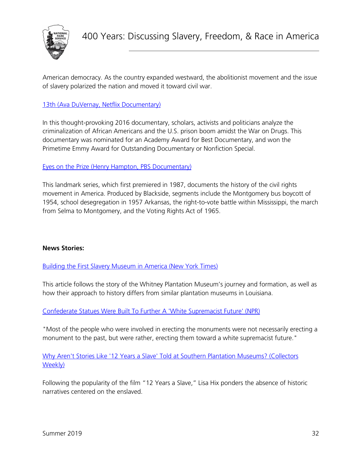

American democracy. As the country expanded westward, the abolitionist movement and the issue of slavery polarized the nation and moved it toward civil war.

#### [13th \(Ava DuVernay, Netflix Documentary\)](https://www.netflix.com/title/80091741)

In this thought-provoking 2016 documentary, scholars, activists and politicians analyze the criminalization of African Americans and the U.S. prison boom amidst the War on Drugs. This documentary was nominated for an Academy Award for Best Documentary, and won the Primetime Emmy Award for Outstanding Documentary or Nonfiction Special.

#### Eyes on the Prize (Henry Hampton, [PBS Documentary\)](http://www.pbs.org/wgbh/americanexperience/films/eyesontheprize/)

This landmark series, which first premiered in 1987, documents the history of the civil rights movement in America. Produced by Blackside, segments include the Montgomery bus boycott of 1954, school desegregation in 1957 Arkansas, the right-to-vote battle within Mississippi, the march from Selma to Montgomery, and the Voting Rights Act of 1965.

#### <span id="page-31-0"></span>**News Stories:**

[Building the First Slavery Museum in America \(New York Times\)](https://www.nytimes.com/2015/03/01/magazine/building-the-first-slave-museum-in-america.html)

This article follows the story of the Whitney Plantation Museum's journey and formation, as well as how their approach to history differs from similar plantation museums in Louisiana.

[Confederate Statues Were Built To Further A 'White Supremacist Future' \(NPR\)](https://www.npr.org/2017/08/20/544266880/confederate-statues-were-built-to-further-a-white-supremacist-future)

"Most of the people who were involved in erecting the monuments were not necessarily erecting a monument to the past, but were rather, erecting them toward a white supremacist future."

[Why Aren't Stories Like '12 Years a Slave' Told at Southern Plantation Museums?](https://www.collectorsweekly.com/articles/why-arent-stories-like-12-years-a-slave-told-at-southern-plantation-museums/) (Collectors [Weekly\)](https://www.collectorsweekly.com/articles/why-arent-stories-like-12-years-a-slave-told-at-southern-plantation-museums/)

Following the popularity of the film "12 Years a Slave," Lisa Hix ponders the absence of historic narratives centered on the enslaved.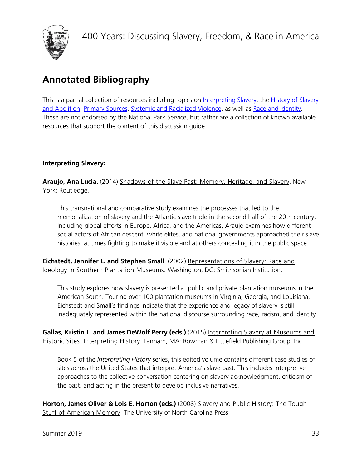

# <span id="page-32-0"></span>**Annotated Bibliography**

This is a partial collection of resources including topics on [Interpreting Slavery,](#page-32-1) the History of Slavery [and Abolition,](#page-33-0) [Primary Sources,](#page-35-0) [Systemic and Racialized Violence,](#page-37-0) as well as [Race and Identity.](#page-39-0) These are not endorsed by the National Park Service, but rather are a collection of known available resources that support the content of this discussion guide.

#### <span id="page-32-1"></span>**Interpreting Slavery:**

Araujo, Ana Lucia. (2014) Shadows of the Slave Past: Memory, Heritage, and Slavery. New York: Routledge.

This transnational and comparative study examines the processes that led to the memorialization of slavery and the Atlantic slave trade in the second half of the 20th century. Including global efforts in Europe, Africa, and the Americas, Araujo examines how different social actors of African descent, white elites, and national governments approached their slave histories, at times fighting to make it visible and at others concealing it in the public space.

**Eichstedt, Jennifer L. and Stephen Small**. (2002) Representations of Slavery: Race and Ideology in Southern Plantation Museums. Washington, DC: Smithsonian Institution.

This study explores how slavery is presented at public and private plantation museums in the American South. Touring over 100 plantation museums in Virginia, Georgia, and Louisiana, Eichstedt and Small's findings indicate that the experience and legacy of slavery is still inadequately represented within the national discourse surrounding race, racism, and identity.

**Gallas, Kristin L. and James DeWolf Perry (eds.)** (2015) Interpreting Slavery at Museums and Historic Sites. Interpreting History. Lanham, MA: Rowman & Littlefield Publishing Group, Inc.

Book 5 of the *Interpreting History* series, this edited volume contains different case studies of sites across the United States that interpret America's slave past. This includes interpretive approaches to the collective conversation centering on slavery acknowledgment, criticism of the past, and acting in the present to develop inclusive narratives.

**Horton, James Oliver & Lois E. Horton (eds.)** (2008) Slavery and Public History: The Tough Stuff of American Memory. The University of North Carolina Press.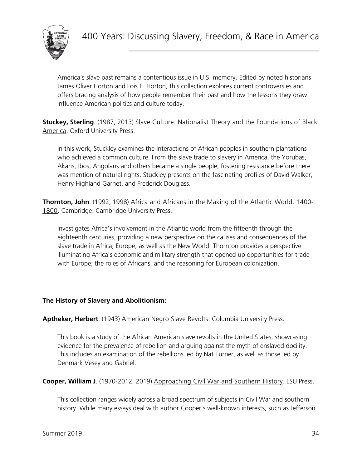

America's slave past remains a contentious issue in U.S. memory. Edited by noted historians James Oliver Horton and Lois E. Horton, this collection explores current controversies and offers bracing analysis of how people remember their past and how the lessons they draw influence American politics and culture today.

**Stuckey, Sterling**. (1987, 2013) Slave Culture: Nationalist Theory and the Foundations of Black America. Oxford University Press.

In this work, Stuckley examines the interactions of African peoples in southern plantations who achieved a common culture. From the slave trade to slavery in America, the Yorubas, Akans, Ibos, Angolans and others became a single people, fostering resistance before there was mention of natural rights. Stuckley presents on the fascinating profiles of David Walker, Henry Highland Garnet, and Frederick Douglass.

**Thornton, John**. (1992, 1998) Africa and Africans in the Making of the Atlantic World, 1400- 1800. Cambridge: Cambridge University Press.

Investigates Africa's involvement in the Atlantic world from the fifteenth through the eighteenth centuries, providing a new perspective on the causes and consequences of the slave trade in Africa, Europe, as well as the New World. Thornton provides a perspective illuminating Africa's economic and military strength that opened up opportunities for trade with Europe; the roles of Africans, and the reasoning for European colonization.

#### <span id="page-33-0"></span>**The History of Slavery and Abolitionism:**

**Aptheker, Herbert**. (1943) American Negro Slave Revolts. Columbia University Press.

This book is a study of the African American slave revolts in the United States, showcasing evidence for the prevalence of rebellion and arguing against the myth of enslaved docility. This includes an examination of the rebellions led by Nat Turner, as well as those led by Denmark Vesey and Gabriel.

**Cooper, William J**. (1970-2012, 2019) Approaching Civil War and Southern History. LSU Press.

This collection ranges widely across a broad spectrum of subjects in Civil War and southern history. While many essays deal with author Cooper's well-known interests, such as Jefferson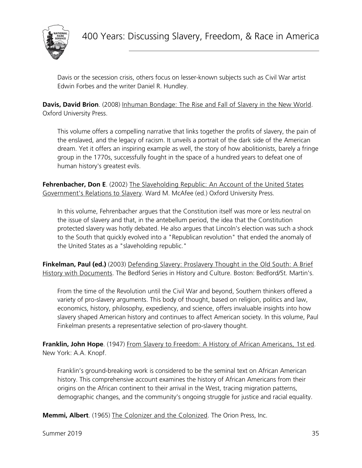

Davis or the secession crisis, others focus on lesser-known subjects such as Civil War artist Edwin Forbes and the writer Daniel R. Hundley.

**Davis, David Brion**. (2008) Inhuman Bondage: The Rise and Fall of Slavery in the New World. Oxford University Press.

This volume offers a compelling narrative that links together the profits of slavery, the pain of the enslaved, and the legacy of racism. It unveils a portrait of the dark side of the American dream. Yet it offers an inspiring example as well, the story of how abolitionists, barely a fringe group in the 1770s, successfully fought in the space of a hundred years to defeat one of human history's greatest evils.

**Fehrenbacher, Don E**. (2002) The Slaveholding Republic: An Account of the United States Government's Relations to Slavery. Ward M. McAfee (ed.) Oxford University Press.

In this volume, Fehrenbacher argues that the Constitution itself was more or less neutral on the issue of slavery and that, in the antebellum period, the idea that the Constitution protected slavery was hotly debated. He also argues that Lincoln's election was such a shock to the South that quickly evolved into a "Republican revolution" that ended the anomaly of the United States as a "slaveholding republic."

**Finkelman, Paul (ed.)** (2003) Defending Slavery: Proslavery Thought in the Old South: A Brief History with Documents. The Bedford Series in History and Culture. Boston: Bedford/St. Martin's.

From the time of the Revolution until the Civil War and beyond, Southern thinkers offered a variety of pro-slavery arguments. This body of thought, based on religion, politics and law, economics, history, philosophy, expediency, and science, offers invaluable insights into how slavery shaped American history and continues to affect American society. In this volume, Paul Finkelman presents a representative selection of pro-slavery thought.

Franklin, John Hope. (1947) From Slavery to Freedom: A History of African Americans, 1st ed. New York: A.A. Knopf.

Franklin's ground-breaking work is considered to be the seminal text on African American history. This comprehensive account examines the history of African Americans from their origins on the African continent to their arrival in the West, tracing migration patterns, demographic changes, and the community's ongoing struggle for justice and racial equality.

**Memmi, Albert**. (1965) The Colonizer and the Colonized. The Orion Press, Inc.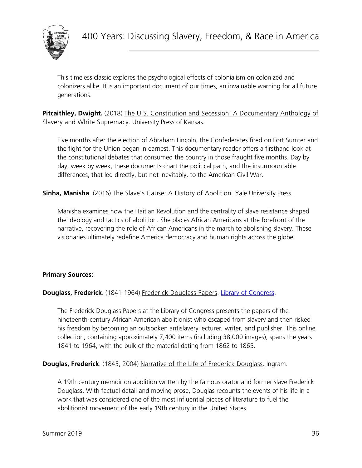

This timeless classic explores the psychological effects of colonialism on colonized and colonizers alike. It is an important document of our times, an invaluable warning for all future generations.

**Pitcaithley, Dwight.** (2018) The U.S. Constitution and Secession: A Documentary Anthology of Slavery and White Supremacy. University Press of Kansas.

Five months after the election of Abraham Lincoln, the Confederates fired on Fort Sumter and the fight for the Union began in earnest. This documentary reader offers a firsthand look at the constitutional debates that consumed the country in those fraught five months. Day by day, week by week, these documents chart the political path, and the insurmountable differences, that led directly, but not inevitably, to the American Civil War.

**Sinha, Manisha**. (2016) The Slave's Cause: A History of Abolition. Yale University Press.

Manisha examines how the Haitian Revolution and the centrality of slave resistance shaped the ideology and tactics of abolition. She places African Americans at the forefront of the narrative, recovering the role of African Americans in the march to abolishing slavery. These visionaries ultimately redefine America democracy and human rights across the globe.

#### <span id="page-35-0"></span>**Primary Sources:**

**Douglass, Frederick**. (1841-1964) Frederick Douglass Papers. [Library of Congress.](https://www.loc.gov/collections/frederick-douglass-papers/about-this-collection/)

The Frederick Douglass Papers at the Library of Congress presents the papers of the nineteenth-century African American abolitionist who escaped from slavery and then risked his freedom by becoming an outspoken antislavery lecturer, writer, and publisher. This online collection, containing approximately 7,400 items (including 38,000 images), spans the years 1841 to 1964, with the bulk of the material dating from 1862 to 1865.

**Douglas, Frederick**. (1845, 2004) Narrative of the Life of Frederick Douglass. Ingram.

A 19th century memoir on abolition written by the famous orator and former slave Frederick Douglass. With factual detail and moving prose, Douglas recounts the events of his life in a work that was considered one of the most influential pieces of literature to fuel the abolitionist movement of the early 19th century in the United States.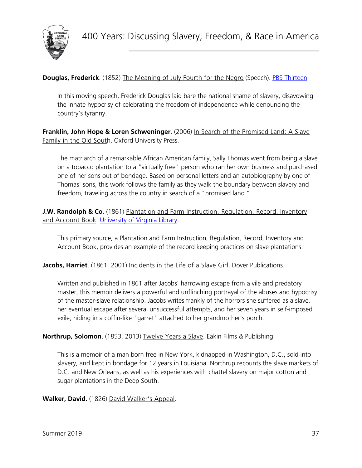

**Douglas, Frederick**[.](https://www.pbs.org/wgbh/aia/part4/4h2927t.html) (1852) The Meaning of July Fourth for the Negro (Speech). **PBS Thirteen**.

In this moving speech, Frederick Douglas laid bare the national shame of slavery, disavowing the innate hypocrisy of celebrating the freedom of independence while denouncing the country's tyranny.

**Franklin, John Hope & Loren Schweninger**. (2006) In Search of the Promised Land: A Slave Family in the Old South. Oxford University Press.

The matriarch of a remarkable African American family, Sally Thomas went from being a slave on a tobacco plantation to a "virtually free" person who ran her own business and purchased one of her sons out of bondage. Based on personal letters and an autobiography by one of Thomas' sons, this work follows the family as they walk the boundary between slavery and freedom, traveling across the country in search of a "promised land."

**J.W. Randolph & Co**. (1861) Plantation and Farm Instruction, Regulation, Record, Inventory and Account Book. [University of Virginia Library.](https://search.lib.virginia.edu/catalog/uva-lib:1032274#?c=0&m=0&s=0&cv=9&xywh=-817%2C-410%2C6618%2C8173)

This primary source, a Plantation and Farm Instruction, Regulation, Record, Inventory and Account Book, provides an example of the record keeping practices on slave plantations.

**Jacobs, Harriet**. (1861, 2001) Incidents in the Life of a Slave Girl. Dover Publications.

Written and published in 1861 after Jacobs' harrowing escape from a vile and predatory master, this memoir delivers a powerful and unflinching portrayal of the abuses and hypocrisy of the master-slave relationship. Jacobs writes frankly of the horrors she suffered as a slave, her eventual escape after several unsuccessful attempts, and her seven years in self-imposed exile, hiding in a coffin-like "garret" attached to her grandmother's porch.

**Northrup, Solomon**. (1853, 2013) Twelve Years a Slave. Eakin Films & Publishing.

This is a memoir of a man born free in New York, kidnapped in Washington, D.C., sold into slavery, and kept in bondage for 12 years in Louisiana. Northrup recounts the slave markets of D.C. and New Orleans, as well as his experiences with chattel slavery on major cotton and sugar plantations in the Deep South.

**Walker, David.** (1826) David Walker's Appeal.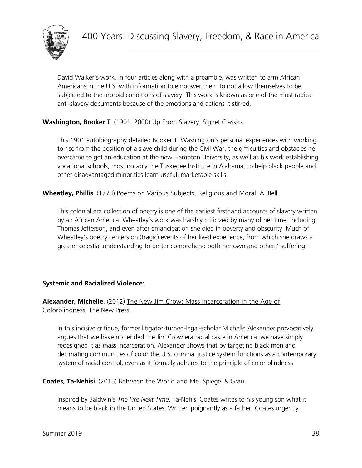

David Walker's work, in four articles along with a preamble, was written to arm African Americans in the U.S. with information to empower them to not allow themselves to be subjected to the morbid conditions of slavery. This work is known as one of the most radical anti-slavery documents because of the emotions and actions it stirred.

#### Washington, Booker T. (1901, 2000) Up From Slavery. Signet Classics.

This 1901 autobiography detailed Booker T. Washington's personal experiences with working to rise from the position of a slave child during the Civil War, the difficulties and obstacles he overcame to get an education at the new Hampton University, as well as his work establishing vocational schools, most notably the Tuskegee Institute in Alabama, to help black people and other disadvantaged minorities learn useful, marketable skills.

**Wheatley, Phillis**. (1773) Poems on Various Subjects, Religious and Moral. A. Bell.

This colonial era collection of poetry is one of the earliest firsthand accounts of slavery written by an African America. Wheatley's work was harshly criticized by many of her time, including Thomas Jefferson, and even after emancipation she died in poverty and obscurity. Much of Wheatley's poetry centers on (tragic) events of her lived experience, from which she draws a greater celestial understanding to better comprehend both her own and others' suffering.

#### <span id="page-37-0"></span>**Systemic and Racialized Violence:**

#### **Alexander, Michelle**. (2012) The New Jim Crow: Mass Incarceration in the Age of Colorblindness. The New Press.

In this incisive critique, former litigator-turned-legal-scholar Michelle Alexander provocatively argues that we have not ended the Jim Crow era racial caste in America: we have simply redesigned it as mass incarceration. Alexander shows that by targeting black men and decimating communities of color the U.S. criminal justice system functions as a contemporary system of racial control, even as it formally adheres to the principle of color blindness.

**Coates, Ta-Nehisi**. (2015) Between the World and Me. Spiegel & Grau.

Inspired by Baldwin's *The Fire Next Time*, Ta-Nehisi Coates writes to his young son what it means to be black in the United States. Written poignantly as a father, Coates urgently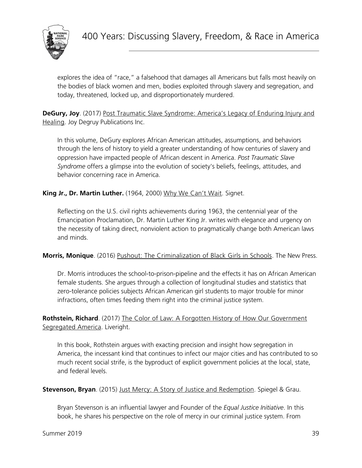

explores the idea of "race," a falsehood that damages all Americans but falls most heavily on the bodies of black women and men, bodies exploited through slavery and segregation, and today, threatened, locked up, and disproportionately murdered.

**DeGury, Joy**. (2017) Post Traumatic Slave Syndrome: America's Legacy of Enduring Injury and Healing. Joy Degruy Publications Inc.

In this volume, DeGury explores African American attitudes, assumptions, and behaviors through the lens of history to yield a greater understanding of how centuries of slavery and oppression have impacted people of African descent in America. *Post Traumatic Slave Syndrome* offers a glimpse into the evolution of society's beliefs, feelings, attitudes, and behavior concerning race in America.

#### **King Jr., Dr. Martin Luther.** (1964, 2000) Why We Can't Wait. Signet.

Reflecting on the U.S. civil rights achievements during 1963, the centennial year of the Emancipation Proclamation, Dr. Martin Luther King Jr. writes with elegance and urgency on the necessity of taking direct, nonviolent action to pragmatically change both American laws and minds.

#### **Morris, Monique**. (2016) Pushout: The Criminalization of Black Girls in Schools. The New Press.

Dr. Morris introduces the school-to-prison-pipeline and the effects it has on African American female students. She argues through a collection of longitudinal studies and statistics that zero-tolerance policies subjects African American girl students to major trouble for minor infractions, often times feeding them right into the criminal justice system.

Rothstein, Richard. (2017) The Color of Law: A Forgotten History of How Our Government Segregated America. Liveright.

In this book, Rothstein argues with exacting precision and insight how segregation in America, the incessant kind that continues to infect our major cities and has contributed to so much recent social strife, is the byproduct of explicit government policies at the local, state, and federal levels.

**Stevenson, Bryan**. (2015) Just Mercy: A Story of Justice and Redemption. Spiegel & Grau.

Bryan Stevenson is an influential lawyer and Founder of the *Equal Justice Initiative*. In this book, he shares his perspective on the role of mercy in our criminal justice system. From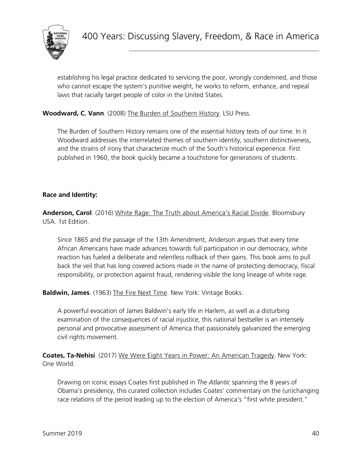

establishing his legal practice dedicated to servicing the poor, wrongly condemned, and those who cannot escape the system's punitive weight, he works to reform, enhance, and repeal laws that racially target people of color in the United States.

#### **Woodward, C. Vann**. (2008) The Burden of Southern History. LSU Press.

The Burden of Southern History remains one of the essential history texts of our time. In it Woodward addresses the interrelated themes of southern identity, southern distinctiveness, and the strains of irony that characterize much of the South's historical experience. First published in 1960, the book quickly became a touchstone for generations of students.

#### <span id="page-39-0"></span>**Race and Identity:**

**Anderson, Carol**. (2016) White Rage: The Truth about America's Racial Divide. Bloomsbury USA. 1st Edition.

Since 1865 and the passage of the 13th Amendment, Anderson argues that every time African Americans have made advances towards full participation in our democracy, white reaction has fueled a deliberate and relentless rollback of their gains. This book aims to pull back the veil that has long covered actions made in the name of protecting democracy, fiscal responsibility, or protection against fraud, rendering visible the long lineage of white rage.

**Baldwin, James**. (1963) The Fire Next Time. New York: Vintage Books.

A powerful evocation of James Baldwin's early life in Harlem, as well as a disturbing examination of the consequences of racial injustice, this national bestseller is an intensely personal and provocative assessment of America that passionately galvanized the emerging civil rights movement.

**Coates, Ta-Nehisi**. (2017) We Were Eight Years in Power: An American Tragedy. New York: One World.

Drawing on iconic essays Coates first published in *The Atlantic* spanning the 8 years of Obama's presidency, this curated collection includes Coates' commentary on the (un)changing race relations of the period leading up to the election of America's "first white president."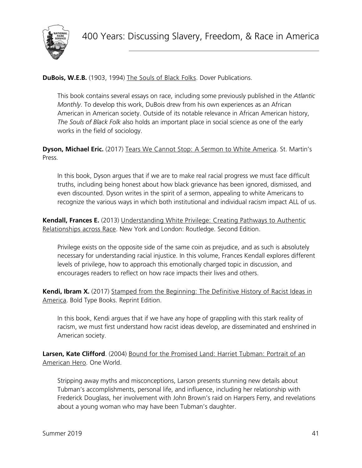

#### **DuBois, W.E.B.** (1903, 1994) The Souls of Black Folks. Dover Publications.

This book contains several essays on race, including some previously published in the *Atlantic Monthly*. To develop this work, DuBois drew from his own experiences as an African American in American society. Outside of its notable relevance in African American history, *The Souls of Black Folk* also holds an important place in social science as one of the early works in the field of sociology.

**Dyson, Michael Eric.** (2017) Tears We Cannot Stop: A Sermon to White America. St. Martin's Press.

In this book, Dyson argues that if we are to make real racial progress we must face difficult truths, including being honest about how black grievance has been ignored, dismissed, and even discounted. Dyson writes in the spirit of a sermon, appealing to white Americans to recognize the various ways in which both institutional and individual racism impact ALL of us.

**Kendall, Frances E.** (2013) *Understanding White Privilege: Creating Pathways to Authentic* Relationships across Race. New York and London: Routledge. Second Edition.

Privilege exists on the opposite side of the same coin as prejudice, and as such is absolutely necessary for understanding racial injustice. In this volume, Frances Kendall explores different levels of privilege, how to approach this emotionally charged topic in discussion, and encourages readers to reflect on how race impacts their lives and others.

**Kendi, Ibram X.** (2017) Stamped from the Beginning: The Definitive History of Racist Ideas in America. Bold Type Books. Reprint Edition.

In this book, Kendi argues that if we have any hope of grappling with this stark reality of racism, we must first understand how racist ideas develop, are disseminated and enshrined in American society.

Larsen, Kate Clifford. (2004) Bound for the Promised Land: Harriet Tubman: Portrait of an American Hero. One World.

Stripping away myths and misconceptions, Larson presents stunning new details about Tubman's accomplishments, personal life, and influence, including her relationship with Frederick Douglass, her involvement with John Brown's raid on Harpers Ferry, and revelations about a young woman who may have been Tubman's daughter.